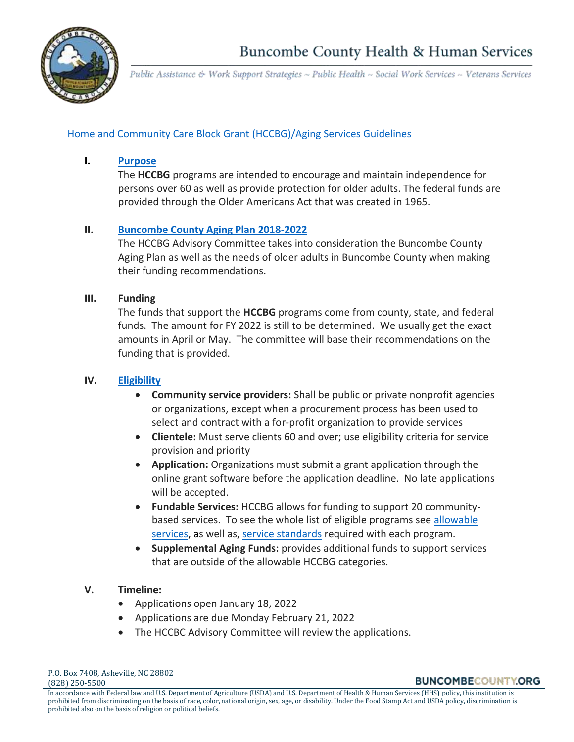

Public Assistance & Work Support Strategies ~ Public Health ~ Social Work Services ~ Veterans Services

# [Home and Community Care Block Grant \(HCCBG\)/Aging Services](https://www.ncdhhs.gov/documents/home-and-community-care-block-grant-procedures-manual-community-service-providers) Guidelines

## **I. [Purpose](https://files.nc.gov/ncdhhs/documents/files/bgsect1.pdf)**

The **HCCBG** programs are intended to encourage and maintain independence for persons over 60 as well as provide protection for older adults. The federal funds are provided through the Older Americans Act that was created in 1965.

# **II. [Buncombe County Aging Plan 2018-2022](http://www.landofsky.org/pdf/Aging/BuncombeCounty_AgingPlan_2018.pdf)**

The HCCBG Advisory Committee takes into consideration the Buncombe County Aging Plan as well as the needs of older adults in Buncombe County when making their funding recommendations.

# **III. Funding**

The funds that support the **HCCBG** programs come from county, state, and federal funds. The amount for FY 2022 is still to be determined. We usually get the exact amounts in April or May. The committee will base their recommendations on the funding that is provided.

# **IV. [Eligibility](https://files.nc.gov/ncdhhs/documents/files/bgsect2.pdf)**

- **Community service providers:** Shall be public or private nonprofit agencies or organizations, except when a procurement process has been used to select and contract with a for-profit organization to provide services
- **Clientele:** Must serve clients 60 and over; use eligibility criteria for service provision and priority
- **Application:** Organizations must submit a grant application through the online grant software before the application deadline. No late applications will be accepted.
- **Fundable Services:** HCCBG allows for funding to support 20 communitybased services. To see the whole list of eligible programs see allowable [services,](https://files.nc.gov/ncdhhs/documents/files/bgsect1.pdf) as well as[, service standards](https://www.ncdhhs.gov/documents/daas-monitoring-service-standards) required with each program.
- **Supplemental Aging Funds:** provides additional funds to support services that are outside of the allowable HCCBG categories.

# **V. Timeline:**

- Applications open January 18, 2022
- Applications are due Monday February 21, 2022
- The HCCBC Advisory Committee will review the applications.

**BUNCOMBECOUNTY.ORG**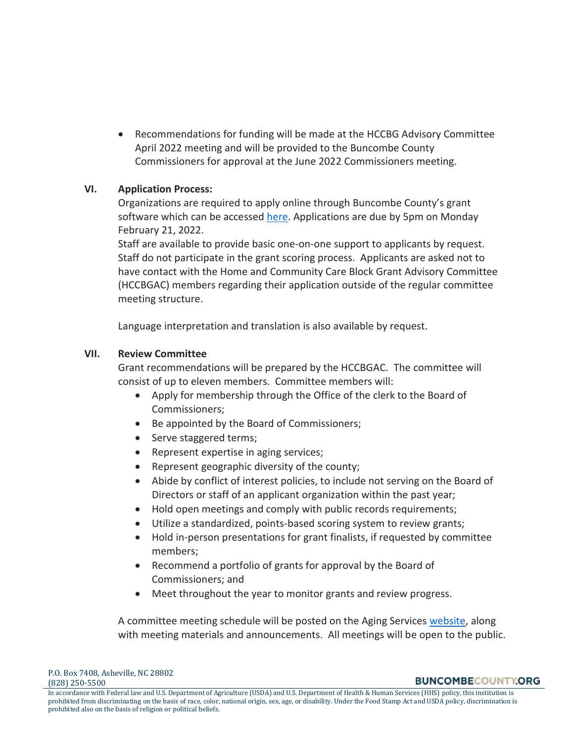• Recommendations for funding will be made at the HCCBG Advisory Committee April 2022 meeting and will be provided to the Buncombe County Commissioners for approval at the June 2022 Commissioners meeting.

## **VI. Application Process:**

Organizations are required to apply online through Buncombe County's grant software which can be accessed [here.](https://www.grantinterface.com/Home/Logon?urlkey=buncombecounty) Applications are due by 5pm on Monday February 21, 2022.

Staff are available to provide basic one-on-one support to applicants by request. Staff do not participate in the grant scoring process. Applicants are asked not to have contact with the Home and Community Care Block Grant Advisory Committee (HCCBGAC) members regarding their application outside of the regular committee meeting structure.

Language interpretation and translation is also available by request.

## **VII. Review Committee**

Grant recommendations will be prepared by the HCCBGAC. The committee will consist of up to eleven members. Committee members will:

- Apply for membership through the Office of the clerk to the Board of Commissioners;
- Be appointed by the Board of Commissioners;
- Serve staggered terms;
- Represent expertise in aging services;
- Represent geographic diversity of the county;
- Abide by conflict of interest policies, to include not serving on the Board of Directors or staff of an applicant organization within the past year;
- Hold open meetings and comply with public records requirements;
- Utilize a standardized, points-based scoring system to review grants;
- Hold in-person presentations for grant finalists, if requested by committee members;
- Recommend a portfolio of grants for approval by the Board of Commissioners; and
- Meet throughout the year to monitor grants and review progress.

A committee meeting schedule will be posted on the Aging Services [website,](https://www.buncombecounty.org/governing/community-investment/grants/aging-services-funding.aspx) along with meeting materials and announcements. All meetings will be open to the public.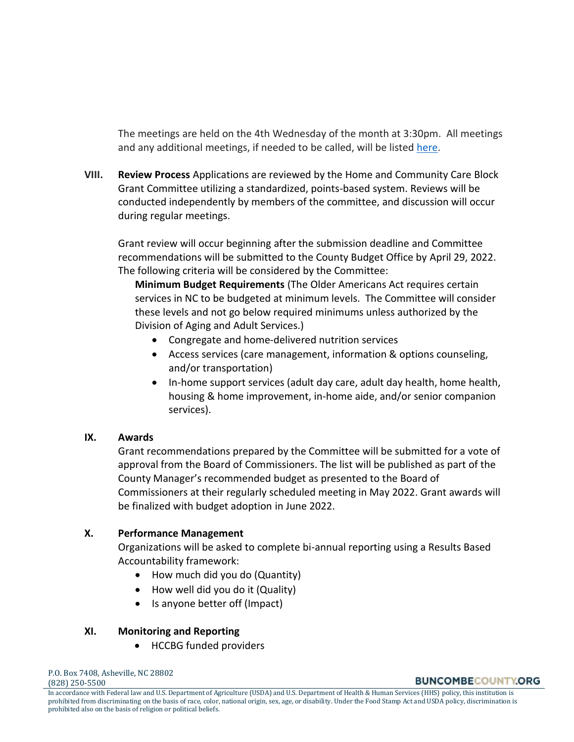The meetings are held on the 4th Wednesday of the month at 3:30pm. All meetings and any additional meetings, if needed to be called, will be listed [here.](https://www.buncombecounty.org/governing/community-investment/grants/aging-services-funding.aspx)

**VIII. Review Process** Applications are reviewed by the Home and Community Care Block Grant Committee utilizing a standardized, points-based system. Reviews will be conducted independently by members of the committee, and discussion will occur during regular meetings.

Grant review will occur beginning after the submission deadline and Committee recommendations will be submitted to the County Budget Office by April 29, 2022. The following criteria will be considered by the Committee:

**Minimum Budget Requirements** (The Older Americans Act requires certain services in NC to be budgeted at minimum levels. The Committee will consider these levels and not go below required minimums unless authorized by the Division of Aging and Adult Services.)

- Congregate and home‐delivered nutrition services
- Access services (care management, information & options counseling, and/or transportation)
- In-home support services (adult day care, adult day health, home health, housing & home improvement, in-home aide, and/or senior companion services).

# **IX. Awards**

Grant recommendations prepared by the Committee will be submitted for a vote of approval from the Board of Commissioners. The list will be published as part of the County Manager's recommended budget as presented to the Board of Commissioners at their regularly scheduled meeting in May 2022. Grant awards will be finalized with budget adoption in June 2022.

# **X. Performance Management**

Organizations will be asked to complete bi-annual reporting using a Results Based Accountability framework:

- How much did you do (Quantity)
- How well did you do it (Quality)
- Is anyone better off (Impact)

#### **XI. Monitoring and Reporting**

• HCCBG funded providers

**BUNCOMBECOUNTY.ORG** 

In accordance with Federal law and U.S. Department of Agriculture (USDA) and U.S. Department of Health & Human Services (HHS) policy, this institution is prohibited from discriminating on the basis of race, color, national origin, sex, age, or disability. Under the Food Stamp Act and USDA policy, discrimination is prohibited also on the basis of religion or political beliefs.